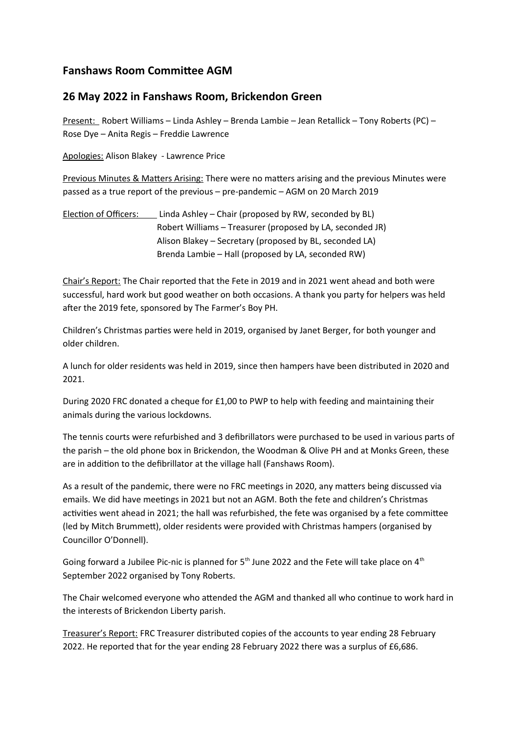# **Fanshaws Room Committee AGM**

## **26 May 2022 in Fanshaws Room, Brickendon Green**

Present: Robert Williams – Linda Ashley – Brenda Lambie – Jean Retallick – Tony Roberts (PC) – Rose Dye – Anita Regis – Freddie Lawrence

Apologies: Alison Blakey - Lawrence Price

Previous Minutes & Matters Arising: There were no matters arising and the previous Minutes were passed as a true report of the previous – pre-pandemic – AGM on 20 March 2019

Election of Officers: Linda Ashley – Chair (proposed by RW, seconded by BL) Robert Williams – Treasurer (proposed by LA, seconded JR) Alison Blakey – Secretary (proposed by BL, seconded LA) Brenda Lambie – Hall (proposed by LA, seconded RW)

Chair's Report: The Chair reported that the Fete in 2019 and in 2021 went ahead and both were successful, hard work but good weather on both occasions. A thank you party for helpers was held after the 2019 fete, sponsored by The Farmer's Boy PH.

Children's Christmas parties were held in 2019, organised by Janet Berger, for both younger and older children.

A lunch for older residents was held in 2019, since then hampers have been distributed in 2020 and 2021.

During 2020 FRC donated a cheque for £1,00 to PWP to help with feeding and maintaining their animals during the various lockdowns.

The tennis courts were refurbished and 3 defibrillators were purchased to be used in various parts of the parish – the old phone box in Brickendon, the Woodman & Olive PH and at Monks Green, these are in addition to the defibrillator at the village hall (Fanshaws Room).

As a result of the pandemic, there were no FRC meetings in 2020, any matters being discussed via emails. We did have meetings in 2021 but not an AGM. Both the fete and children's Christmas activities went ahead in 2021; the hall was refurbished, the fete was organised by a fete committee (led by Mitch Brummett), older residents were provided with Christmas hampers (organised by Councillor O'Donnell).

Going forward a Jubilee Pic-nic is planned for  $5<sup>th</sup>$  June 2022 and the Fete will take place on  $4<sup>th</sup>$ September 2022 organised by Tony Roberts.

The Chair welcomed everyone who attended the AGM and thanked all who continue to work hard in the interests of Brickendon Liberty parish.

Treasurer's Report: FRC Treasurer distributed copies of the accounts to year ending 28 February 2022. He reported that for the year ending 28 February 2022 there was a surplus of £6,686.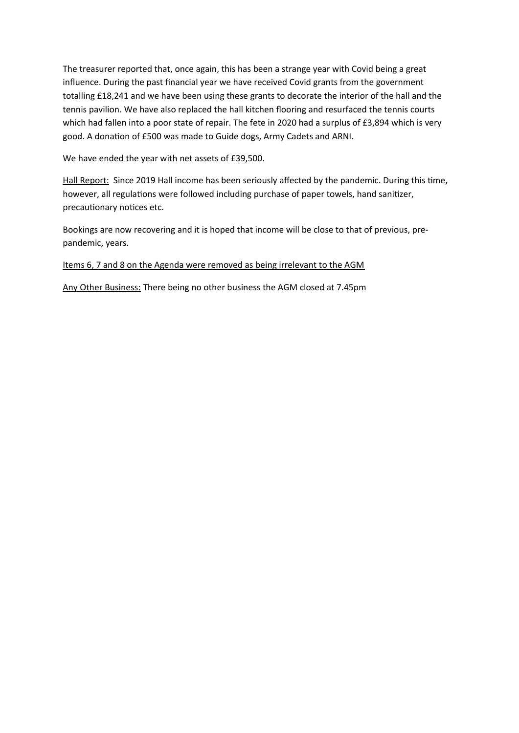The treasurer reported that, once again, this has been a strange year with Covid being a great influence. During the past financial year we have received Covid grants from the government totalling £18,241 and we have been using these grants to decorate the interior of the hall and the tennis pavilion. We have also replaced the hall kitchen flooring and resurfaced the tennis courts which had fallen into a poor state of repair. The fete in 2020 had a surplus of £3,894 which is very good. A donation of £500 was made to Guide dogs, Army Cadets and ARNI.

We have ended the year with net assets of £39,500.

Hall Report: Since 2019 Hall income has been seriously affected by the pandemic. During this time, however, all regulations were followed including purchase of paper towels, hand sanitizer, precautionary notices etc.

Bookings are now recovering and it is hoped that income will be close to that of previous, prepandemic, years.

#### Items 6, 7 and 8 on the Agenda were removed as being irrelevant to the AGM

Any Other Business: There being no other business the AGM closed at 7.45pm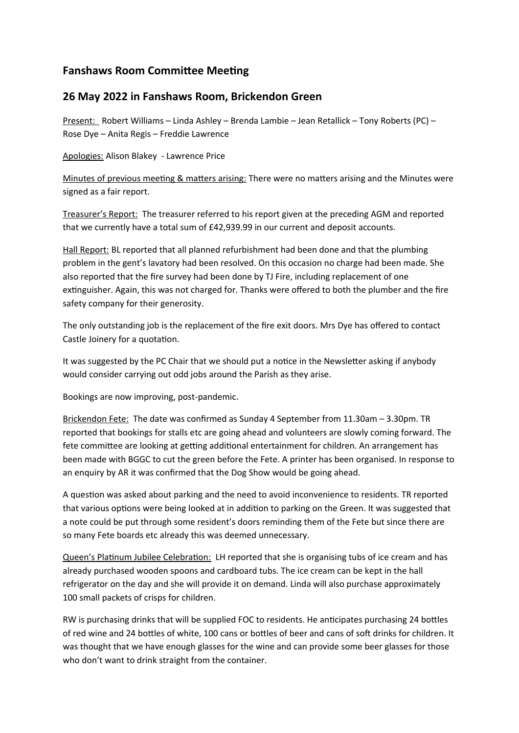# **Fanshaws Room Committee Meeting**

## **26 May 2022 in Fanshaws Room, Brickendon Green**

Present: Robert Williams – Linda Ashley – Brenda Lambie – Jean Retallick – Tony Roberts (PC) – Rose Dye – Anita Regis – Freddie Lawrence

Apologies: Alison Blakey - Lawrence Price

Minutes of previous meeting & matters arising: There were no matters arising and the Minutes were signed as a fair report.

Treasurer's Report: The treasurer referred to his report given at the preceding AGM and reported that we currently have a total sum of £42,939.99 in our current and deposit accounts.

Hall Report: BL reported that all planned refurbishment had been done and that the plumbing problem in the gent's lavatory had been resolved. On this occasion no charge had been made. She also reported that the fire survey had been done by TJ Fire, including replacement of one extinguisher. Again, this was not charged for. Thanks were offered to both the plumber and the fire safety company for their generosity.

The only outstanding job is the replacement of the fire exit doors. Mrs Dye has offered to contact Castle Joinery for a quotation.

It was suggested by the PC Chair that we should put a notice in the Newsletter asking if anybody would consider carrying out odd jobs around the Parish as they arise.

Bookings are now improving, post-pandemic.

Brickendon Fete: The date was confirmed as Sunday 4 September from 11.30am – 3.30pm. TR reported that bookings for stalls etc are going ahead and volunteers are slowly coming forward. The fete committee are looking at getting additional entertainment for children. An arrangement has been made with BGGC to cut the green before the Fete. A printer has been organised. In response to an enquiry by AR it was confirmed that the Dog Show would be going ahead.

A question was asked about parking and the need to avoid inconvenience to residents. TR reported that various options were being looked at in addition to parking on the Green. It was suggested that a note could be put through some resident's doors reminding them of the Fete but since there are so many Fete boards etc already this was deemed unnecessary.

Queen's Platinum Jubilee Celebration: LH reported that she is organising tubs of ice cream and has already purchased wooden spoons and cardboard tubs. The ice cream can be kept in the hall refrigerator on the day and she will provide it on demand. Linda will also purchase approximately 100 small packets of crisps for children.

RW is purchasing drinks that will be supplied FOC to residents. He anticipates purchasing 24 bottles of red wine and 24 bottles of white, 100 cans or bottles of beer and cans of soft drinks for children. It was thought that we have enough glasses for the wine and can provide some beer glasses for those who don't want to drink straight from the container.